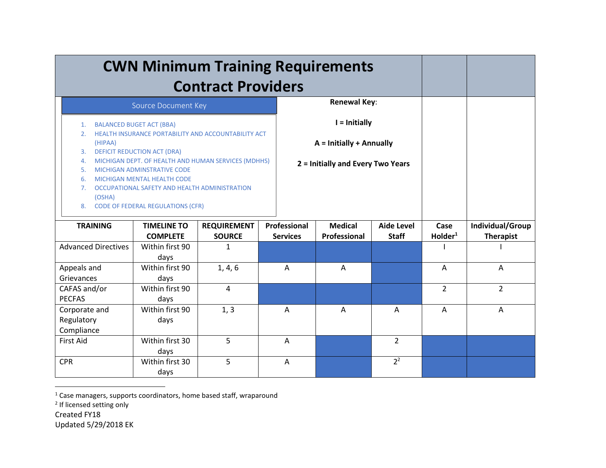| <b>CWN Minimum Training Requirements</b>                                                                                                                                                                                                                                                                                                                                                                                                                 |                                       |                                     |                                 |                                                                                |                                   |                       |                                      |
|----------------------------------------------------------------------------------------------------------------------------------------------------------------------------------------------------------------------------------------------------------------------------------------------------------------------------------------------------------------------------------------------------------------------------------------------------------|---------------------------------------|-------------------------------------|---------------------------------|--------------------------------------------------------------------------------|-----------------------------------|-----------------------|--------------------------------------|
|                                                                                                                                                                                                                                                                                                                                                                                                                                                          |                                       | <b>Renewal Key:</b>                 |                                 |                                                                                |                                   |                       |                                      |
| Source Document Key<br><b>BALANCED BUGET ACT (BBA)</b><br>1.<br><b>HEALTH INSURANCE PORTABILITY AND ACCOUNTABILITY ACT</b><br>2.<br>(HIPAA)<br><b>DEFICIT REDUCTION ACT (DRA)</b><br>3.<br>MICHIGAN DEPT. OF HEALTH AND HUMAN SERVICES (MDHHS)<br>4.<br>5.<br><b>MICHIGAN ADMINSTRATIVE CODE</b><br>MICHIGAN MENTAL HEALTH CODE<br>6.<br>OCCUPATIONAL SAFETY AND HEALTH ADMINISTRATION<br>7.<br>(OSHA)<br><b>CODE OF FEDERAL REGULATIONS (CFR)</b><br>8. |                                       |                                     |                                 | I = Initially<br>A = Initially + Annually<br>2 = Initially and Every Two Years |                                   |                       |                                      |
| <b>TRAINING</b>                                                                                                                                                                                                                                                                                                                                                                                                                                          | <b>TIMELINE TO</b><br><b>COMPLETE</b> | <b>REQUIREMENT</b><br><b>SOURCE</b> | Professional<br><b>Services</b> | <b>Medical</b><br>Professional                                                 | <b>Aide Level</b><br><b>Staff</b> | Case<br>$H$ older $1$ | Individual/Group<br><b>Therapist</b> |
| <b>Advanced Directives</b>                                                                                                                                                                                                                                                                                                                                                                                                                               | Within first 90<br>days               | 1                                   |                                 |                                                                                |                                   |                       |                                      |
| Appeals and<br>Grievances                                                                                                                                                                                                                                                                                                                                                                                                                                | Within first 90<br>days               | 1, 4, 6                             | A                               | $\overline{A}$                                                                 |                                   | $\overline{A}$        | A                                    |
| CAFAS and/or<br><b>PECFAS</b>                                                                                                                                                                                                                                                                                                                                                                                                                            | Within first 90<br>days               | 4                                   |                                 |                                                                                |                                   | $\overline{2}$        | $\overline{2}$                       |
| Corporate and<br>Regulatory<br>Compliance                                                                                                                                                                                                                                                                                                                                                                                                                | Within first 90<br>days               | 1, 3                                | A                               | $\overline{A}$                                                                 | A                                 | $\overline{A}$        | $\mathsf{A}$                         |
| <b>First Aid</b>                                                                                                                                                                                                                                                                                                                                                                                                                                         | Within first 30<br>days               | 5                                   | A                               |                                                                                | $\overline{2}$                    |                       |                                      |
| <b>CPR</b>                                                                                                                                                                                                                                                                                                                                                                                                                                               | Within first 30<br>days               | 5                                   | Α                               |                                                                                | 2 <sup>2</sup>                    |                       |                                      |

<sup>1</sup> Case managers, supports coordinators, home based staff, wraparound<br><sup>2</sup> If licensed setting only

Created FY18

Updated 5/29/2018 EK